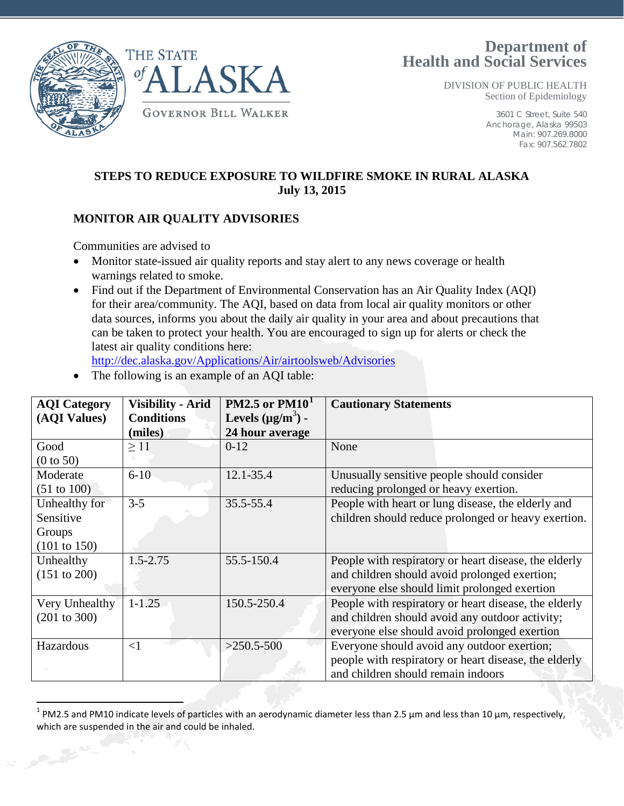



DIVISION OF PUBLIC HEALTH Section of Epidemiology

> 3601 C Street, Suite 540 Anchorage, Alaska 99503 Main: 907.269.8000 Fax: 907.562.7802

## **STEPS TO REDUCE EXPOSURE TO WILDFIRE SMOKE IN RURAL ALASKA July 13, 2015**

### **MONITOR AIR QUALITY ADVISORIES**

Communities are advised to

- Monitor state-issued air quality reports and stay alert to any news coverage or health warnings related to smoke.
- Find out if the Department of Environmental Conservation has an Air Quality Index (AQI) for their area/community. The AQI, based on data from local air quality monitors or other data sources, informs you about the daily air quality in your area and about precautions that can be taken to protect your health. You are encouraged to sign up for alerts or check the latest air quality conditions here:

<http://dec.alaska.gov/Applications/Air/airtoolsweb/Advisories>

• The following is an example of an AQI table:

| <b>AQI</b> Category                                             | <b>Visibility - Arid</b>     | PM2.5 or $PM101$                          | <b>Cautionary Statements</b>                                                                                                                              |
|-----------------------------------------------------------------|------------------------------|-------------------------------------------|-----------------------------------------------------------------------------------------------------------------------------------------------------------|
| (AQI Values)                                                    | <b>Conditions</b><br>(miles) | Levels $(\mu g/m^3)$ -<br>24 hour average |                                                                                                                                                           |
| Good<br>(0 to 50)                                               | $\geq$ 11                    | $0-12$                                    | None                                                                                                                                                      |
| Moderate<br>$(51 \text{ to } 100)$                              | $6 - 10$                     | 12.1-35.4                                 | Unusually sensitive people should consider<br>reducing prolonged or heavy exertion.                                                                       |
| Unhealthy for<br>Sensitive<br>Groups<br>$(101 \text{ to } 150)$ | $3 - 5$                      | 35.5-55.4                                 | People with heart or lung disease, the elderly and<br>children should reduce prolonged or heavy exertion.                                                 |
| Unhealthy<br>(151 to 200)                                       | $1.5 - 2.75$                 | 55.5-150.4                                | People with respiratory or heart disease, the elderly<br>and children should avoid prolonged exertion;<br>everyone else should limit prolonged exertion   |
| Very Unhealthy<br>$(201 \text{ to } 300)$                       | $1 - 1.25$                   | 150.5-250.4                               | People with respiratory or heart disease, the elderly<br>and children should avoid any outdoor activity;<br>everyone else should avoid prolonged exertion |
| Hazardous                                                       | $\leq$ 1                     | $>250.5-500$                              | Everyone should avoid any outdoor exertion;<br>people with respiratory or heart disease, the elderly<br>and children should remain indoors                |

<span id="page-0-0"></span> $1$  PM2.5 and PM10 indicate levels of particles with an aerodynamic diameter less than 2.5 µm and less than 10 µm, respectively, which are suspended in the air and could be inhaled.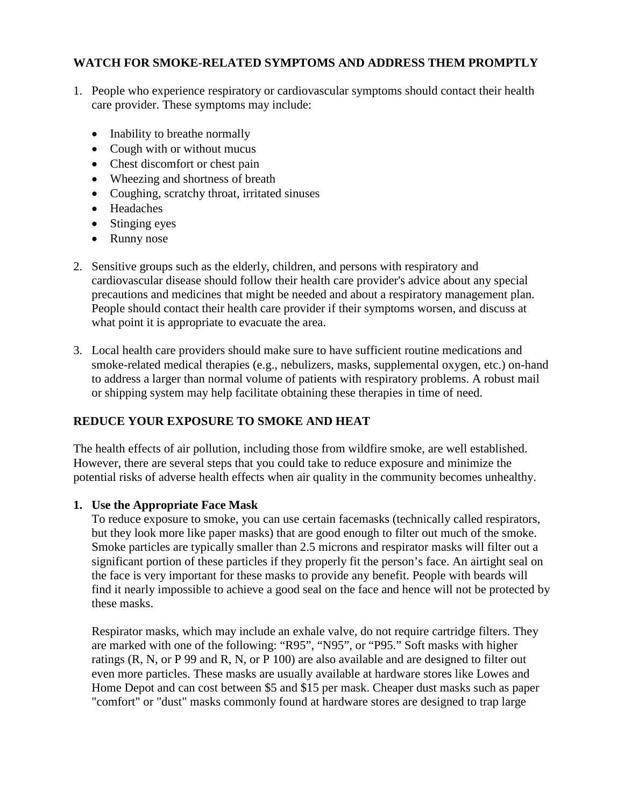### **WATCH FOR SMOKE-RELATED SYMPTOMS AND ADDRESS THEM PROMPTLY**

- 1. People who experience respiratory or cardiovascular symptoms should contact their health care provider. These symptoms may include:
	- Inability to breathe normally
	- Cough with or without mucus
	- Chest discomfort or chest pain
	- Wheezing and shortness of breath
	- Coughing, scratchy throat, irritated sinuses
	- Headaches
	- Stinging eyes
	- Runny nose
- 2. Sensitive groups such as the elderly, children, and persons with respiratory and cardiovascular disease should follow their health care provider's advice about any special precautions and medicines that might be needed and about a respiratory management plan. People should contact their health care provider if their symptoms worsen, and discuss at what point it is appropriate to evacuate the area.
- 3. Local health care providers should make sure to have sufficient routine medications and smoke-related medical therapies (e.g., nebulizers, masks, supplemental oxygen, etc.) on-hand to address a larger than normal volume of patients with respiratory problems. A robust mail or shipping system may help facilitate obtaining these therapies in time of need.

# **REDUCE YOUR EXPOSURE TO SMOKE AND HEAT**

The health effects of air pollution, including those from wildfire smoke, are well established. However, there are several steps that you could take to reduce exposure and minimize the potential risks of adverse health effects when air quality in the community becomes unhealthy.

#### **1. Use the Appropriate Face Mask**

To reduce exposure to smoke, you can use certain facemasks (technically called respirators, but they look more like paper masks) that are good enough to filter out much of the smoke. Smoke particles are typically smaller than 2.5 microns and respirator masks will filter out a significant portion of these particles if they properly fit the person's face. An airtight seal on the face is very important for these masks to provide any benefit. People with beards will find it nearly impossible to achieve a good seal on the face and hence will not be protected by these masks.

Respirator masks, which may include an exhale valve, do not require cartridge filters. They are marked with one of the following: "R95", "N95", or "P95." Soft masks with higher ratings (R, N, or P 99 and R, N, or P 100) are also available and are designed to filter out even more particles. These masks are usually available at hardware stores like Lowes and Home Depot and can cost between \$5 and \$15 per mask. Cheaper dust masks such as paper "comfort" or "dust" masks commonly found at hardware stores are designed to trap large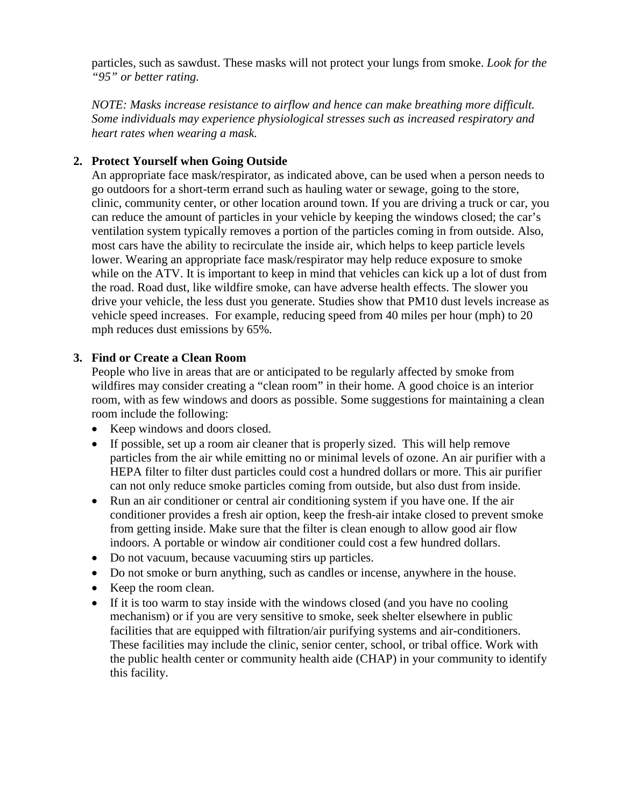particles, such as sawdust. These masks will not protect your lungs from smoke. *Look for the "95" or better rating.*

*NOTE: Masks increase resistance to airflow and hence can make breathing more difficult. Some individuals may experience physiological stresses such as increased respiratory and heart rates when wearing a mask.* 

### **2. Protect Yourself when Going Outside**

An appropriate face mask/respirator, as indicated above, can be used when a person needs to go outdoors for a short-term errand such as hauling water or sewage, going to the store, clinic, community center, or other location around town. If you are driving a truck or car, you can reduce the amount of particles in your vehicle by keeping the windows closed; the car's ventilation system typically removes a portion of the particles coming in from outside. Also, most cars have the ability to recirculate the inside air, which helps to keep particle levels lower. Wearing an appropriate face mask/respirator may help reduce exposure to smoke while on the ATV. It is important to keep in mind that vehicles can kick up a lot of dust from the road. Road dust, like wildfire smoke, can have adverse health effects. The slower you drive your vehicle, the less dust you generate. Studies show that PM10 dust levels increase as vehicle speed increases. For example, reducing speed from 40 miles per hour (mph) to 20 mph reduces dust emissions by 65%.

#### **3. Find or Create a Clean Room**

People who live in areas that are or anticipated to be regularly affected by smoke from wildfires may consider creating a "clean room" in their home. A good choice is an interior room, with as few windows and doors as possible. Some suggestions for maintaining a clean room include the following:

- Keep windows and doors closed.
- If possible, set up a room air cleaner that is properly sized. This will help remove particles from the air while emitting no or minimal levels of ozone. An air purifier with a HEPA filter to filter dust particles could cost a hundred dollars or more. This air purifier can not only reduce smoke particles coming from outside, but also dust from inside.
- Run an air conditioner or central air conditioning system if you have one. If the air conditioner provides a fresh air option, keep the fresh-air intake closed to prevent smoke from getting inside. Make sure that the filter is clean enough to allow good air flow indoors. A portable or window air conditioner could cost a few hundred dollars.
- Do not vacuum, because vacuuming stirs up particles.
- Do not smoke or burn anything, such as candles or incense, anywhere in the house.
- Keep the room clean.
- If it is too warm to stay inside with the windows closed (and you have no cooling mechanism) or if you are very sensitive to smoke, seek shelter elsewhere in public facilities that are equipped with filtration/air purifying systems and air-conditioners. These facilities may include the clinic, senior center, school, or tribal office. Work with the public health center or community health aide (CHAP) in your community to identify this facility.